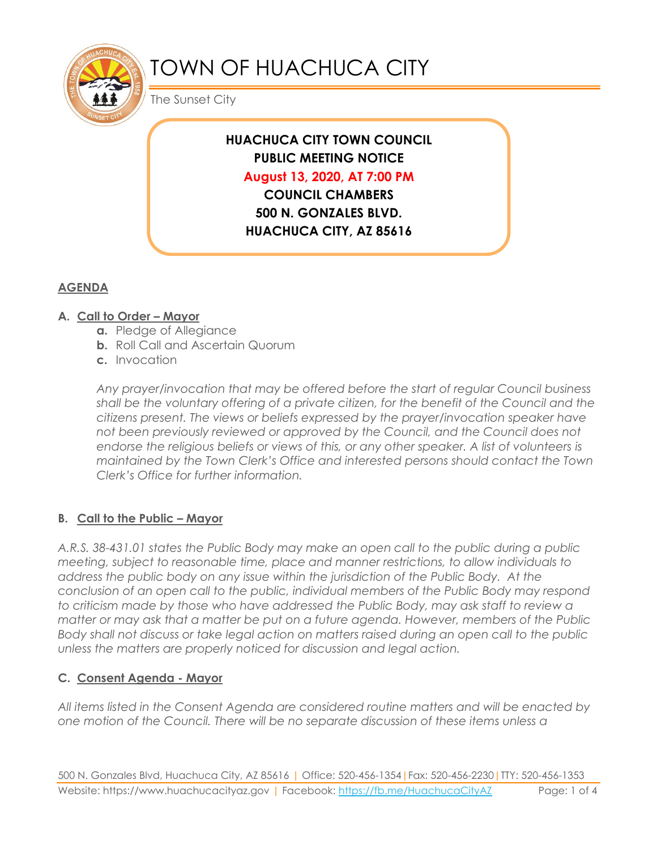

# TOWN OF HUACHUCA CITY

The Sunset City

### **HUACHUCA CITY TOWN COUNCIL PUBLIC MEETING NOTICE August 13, 2020, AT 7:00 PM COUNCIL CHAMBERS**

**500 N. GONZALES BLVD. HUACHUCA CITY, AZ 85616**

## **AGENDA**

#### **A. Call to Order – Mayor**

- **a.** Pledge of Allegiance
- **b.** Roll Call and Ascertain Quorum
- **c.** Invocation

*Any prayer/invocation that may be offered before the start of regular Council business shall be the voluntary offering of a private citizen, for the benefit of the Council and the citizens present. The views or beliefs expressed by the prayer/invocation speaker have not been previously reviewed or approved by the Council, and the Council does not endorse the religious beliefs or views of this, or any other speaker. A list of volunteers is maintained by the Town Clerk's Office and interested persons should contact the Town Clerk's Office for further information.*

#### **B. Call to the Public – Mayor**

*A.R.S. 38-431.01 states the Public Body may make an open call to the public during a public meeting, subject to reasonable time, place and manner restrictions, to allow individuals to address the public body on any issue within the jurisdiction of the Public Body. At the conclusion of an open call to the public, individual members of the Public Body may respond to criticism made by those who have addressed the Public Body, may ask staff to review a matter or may ask that a matter be put on a future agenda. However, members of the Public Body shall not discuss or take legal action on matters raised during an open call to the public unless the matters are properly noticed for discussion and legal action.*

#### **C. Consent Agenda - Mayor**

*All items listed in the Consent Agenda are considered routine matters and will be enacted by one motion of the Council. There will be no separate discussion of these items unless a*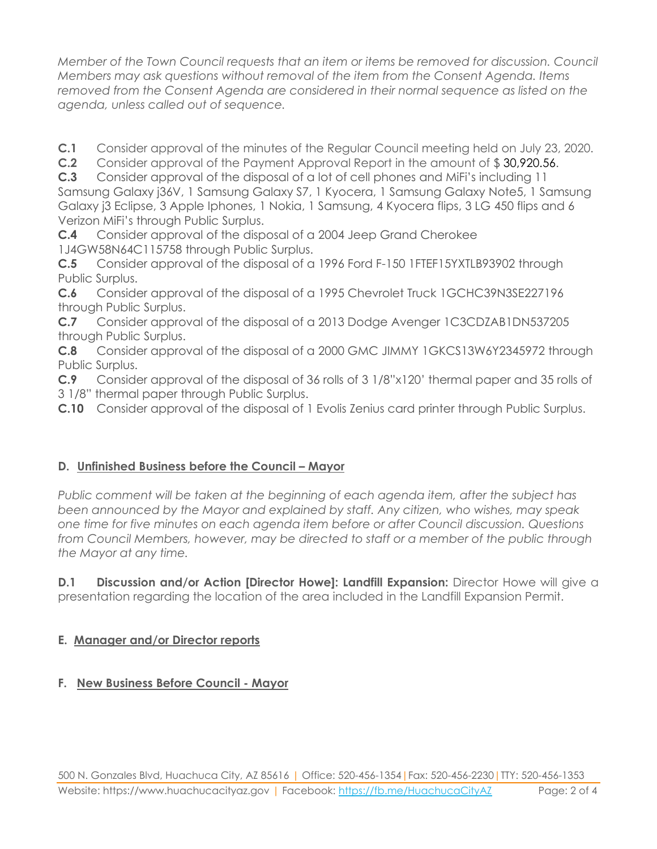*Member of the Town Council requests that an item or items be removed for discussion. Council Members may ask questions without removal of the item from the Consent Agenda. Items removed from the Consent Agenda are considered in their normal sequence as listed on the agenda, unless called out of sequence.*

**C.1** Consider approval of the minutes of the Regular Council meeting held on July 23, 2020.

**C.2** Consider approval of the Payment Approval Report in the amount of \$ 30,920.56.

**C.3** Consider approval of the disposal of a lot of cell phones and MiFi's including 11 Samsung Galaxy j36V, 1 Samsung Galaxy S7, 1 Kyocera, 1 Samsung Galaxy Note5, 1 Samsung Galaxy j3 Eclipse, 3 Apple Iphones, 1 Nokia, 1 Samsung, 4 Kyocera flips, 3 LG 450 flips and 6 Verizon MiFi's through Public Surplus.

**C.4** Consider approval of the disposal of a 2004 Jeep Grand Cherokee 1J4GW58N64C115758 through Public Surplus.

**C.5** Consider approval of the disposal of a 1996 Ford F-150 1FTEF15YXTLB93902 through Public Surplus.

**C.6** Consider approval of the disposal of a 1995 Chevrolet Truck 1GCHC39N3SE227196 through Public Surplus.

**C.7** Consider approval of the disposal of a 2013 Dodge Avenger 1C3CDZAB1DN537205 through Public Surplus.

**C.8** Consider approval of the disposal of a 2000 GMC JIMMY 1GKCS13W6Y2345972 through Public Surplus.

**C.9** Consider approval of the disposal of 36 rolls of 3 1/8"x120' thermal paper and 35 rolls of 3 1/8" thermal paper through Public Surplus.

**C.10** Consider approval of the disposal of 1 Evolis Zenius card printer through Public Surplus.

#### **D. Unfinished Business before the Council – Mayor**

*Public comment will be taken at the beginning of each agenda item, after the subject has been announced by the Mayor and explained by staff. Any citizen, who wishes, may speak one time for five minutes on each agenda item before or after Council discussion. Questions from Council Members, however, may be directed to staff or a member of the public through the Mayor at any time.*

**D.1 Discussion and/or Action [Director Howe]: Landfill Expansion:** Director Howe will give a presentation regarding the location of the area included in the Landfill Expansion Permit.

#### **E. Manager and/or Director reports**

#### **F. New Business Before Council - Mayor**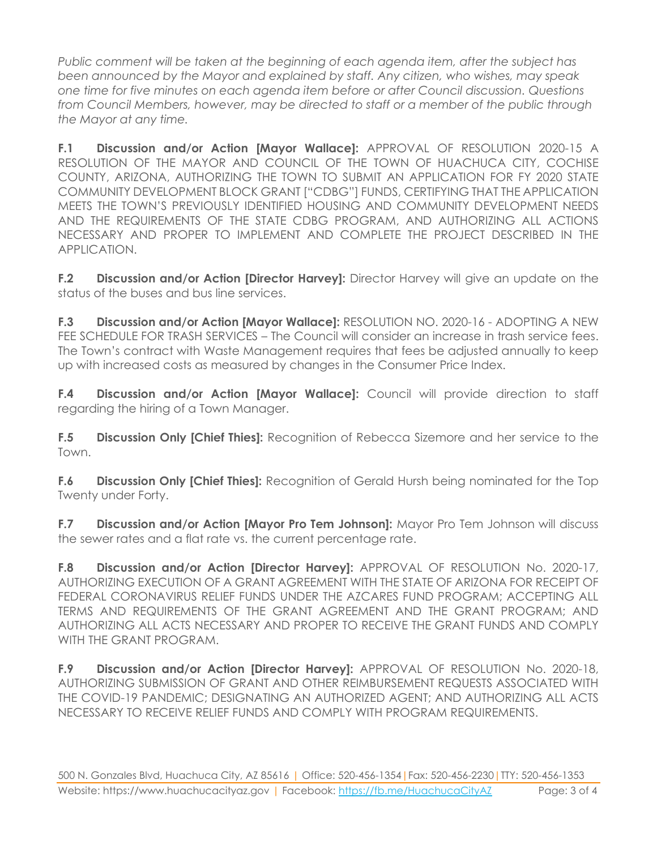*Public comment will be taken at the beginning of each agenda item, after the subject has been announced by the Mayor and explained by staff. Any citizen, who wishes, may speak one time for five minutes on each agenda item before or after Council discussion. Questions from Council Members, however, may be directed to staff or a member of the public through the Mayor at any time.* 

**F.1 Discussion and/or Action [Mayor Wallace]:** APPROVAL OF RESOLUTION 2020-15 A RESOLUTION OF THE MAYOR AND COUNCIL OF THE TOWN OF HUACHUCA CITY, COCHISE COUNTY, ARIZONA, AUTHORIZING THE TOWN TO SUBMIT AN APPLICATION FOR FY 2020 STATE COMMUNITY DEVELOPMENT BLOCK GRANT ["CDBG"] FUNDS, CERTIFYING THAT THE APPLICATION MEETS THE TOWN'S PREVIOUSLY IDENTIFIED HOUSING AND COMMUNITY DEVELOPMENT NEEDS AND THE REQUIREMENTS OF THE STATE CDBG PROGRAM, AND AUTHORIZING ALL ACTIONS NECESSARY AND PROPER TO IMPLEMENT AND COMPLETE THE PROJECT DESCRIBED IN THE APPLICATION.

**F.2 Discussion and/or Action [Director Harvey]:** Director Harvey will give an update on the status of the buses and bus line services.

**F.3 Discussion and/or Action [Mayor Wallace]:** RESOLUTION NO. 2020-16 - ADOPTING A NEW FEE SCHEDULE FOR TRASH SERVICES – The Council will consider an increase in trash service fees. The Town's contract with Waste Management requires that fees be adjusted annually to keep up with increased costs as measured by changes in the Consumer Price Index.

**F.4 Discussion and/or Action [Mayor Wallace]:** Council will provide direction to staff regarding the hiring of a Town Manager.

**F.5 Discussion Only [Chief Thies]:** Recognition of Rebecca Sizemore and her service to the Town.

**F.6 Discussion Only [Chief Thies]:** Recognition of Gerald Hursh being nominated for the Top Twenty under Forty.

**F.7 Discussion and/or Action [Mayor Pro Tem Johnson]:** Mayor Pro Tem Johnson will discuss the sewer rates and a flat rate vs. the current percentage rate.

**F.8 Discussion and/or Action [Director Harvey]:** APPROVAL OF RESOLUTION No. 2020-17, AUTHORIZING EXECUTION OF A GRANT AGREEMENT WITH THE STATE OF ARIZONA FOR RECEIPT OF FEDERAL CORONAVIRUS RELIEF FUNDS UNDER THE AZCARES FUND PROGRAM; ACCEPTING ALL TERMS AND REQUIREMENTS OF THE GRANT AGREEMENT AND THE GRANT PROGRAM; AND AUTHORIZING ALL ACTS NECESSARY AND PROPER TO RECEIVE THE GRANT FUNDS AND COMPLY WITH THE GRANT PROGRAM.

**F.9 Discussion and/or Action [Director Harvey]:** APPROVAL OF RESOLUTION No. 2020-18, AUTHORIZING SUBMISSION OF GRANT AND OTHER REIMBURSEMENT REQUESTS ASSOCIATED WITH THE COVID-19 PANDEMIC; DESIGNATING AN AUTHORIZED AGENT; AND AUTHORIZING ALL ACTS NECESSARY TO RECEIVE RELIEF FUNDS AND COMPLY WITH PROGRAM REQUIREMENTS.